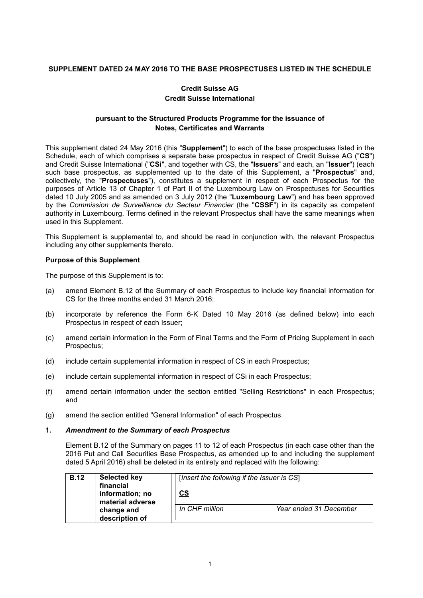# **SUPPLEMENT DATED 24 MAY 2016 TO THE BASE PROSPECTUSES LISTED IN THE SCHEDULE**

# **Credit Suisse AG Credit Suisse International**

# **pursuant to the Structured Products Programme for the issuance of Notes, Certificates and Warrants**

This supplement dated 24 May 2016 (this "**Supplement**") to each of the base prospectuses listed in the Schedule, each of which comprises a separate base prospectus in respect of Credit Suisse AG ("**CS**") and Credit Suisse International ("**CSi**", and together with CS, the "**Issuers**" and each, an "**Issuer**") (each such base prospectus, as supplemented up to the date of this Supplement, a "**Prospectus**" and, collectively, the "**Prospectuses**"), constitutes a supplement in respect of each Prospectus for the purposes of Article 13 of Chapter 1 of Part II of the Luxembourg Law on Prospectuses for Securities dated 10 July 2005 and as amended on 3 July 2012 (the "**Luxembourg Law**") and has been approved by the *Commission de Surveillance du Secteur Financier* (the "**CSSF**") in its capacity as competent authority in Luxembourg. Terms defined in the relevant Prospectus shall have the same meanings when used in this Supplement.

This Supplement is supplemental to, and should be read in conjunction with, the relevant Prospectus including any other supplements thereto.

# **Purpose of this Supplement**

The purpose of this Supplement is to:

- (a) amend Element B.12 of the Summary of each Prospectus to include key financial information for CS for the three months ended 31 March 2016;
- (b) incorporate by reference the Form 6-K Dated 10 May 2016 (as defined below) into each Prospectus in respect of each Issuer;
- (c) amend certain information in the Form of Final Terms and the Form of Pricing Supplement in each Prospectus;
- (d) include certain supplemental information in respect of CS in each Prospectus;
- (e) include certain supplemental information in respect of CSi in each Prospectus;
- (f) amend certain information under the section entitled "Selling Restrictions" in each Prospectus; and
- (g) amend the section entitled "General Information" of each Prospectus.

#### **1.** *Amendment to the Summary of each Prospectus*

Element B.12 of the Summary on pages 11 to 12 of each Prospectus (in each case other than the 2016 Put and Call Securities Base Prospectus, as amended up to and including the supplement dated 5 April 2016) shall be deleted in its entirety and replaced with the following:

| <b>B.12</b><br><b>Selected key</b><br>financial<br>information; no<br>material adverse<br>change and<br>description of | [Insert the following if the Issuer is CS] |                           |                        |
|------------------------------------------------------------------------------------------------------------------------|--------------------------------------------|---------------------------|------------------------|
|                                                                                                                        |                                            | $\underline{\mathsf{CS}}$ |                        |
|                                                                                                                        |                                            | In CHF million            | Year ended 31 December |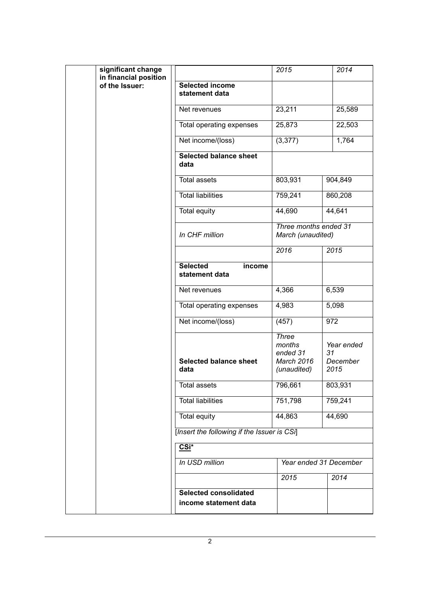|  | significant change<br>in financial position |                                                       | 2015                                                            | 2014                                       |  |
|--|---------------------------------------------|-------------------------------------------------------|-----------------------------------------------------------------|--------------------------------------------|--|
|  | of the Issuer:                              | <b>Selected income</b><br>statement data              |                                                                 |                                            |  |
|  |                                             | Net revenues                                          | 23,211                                                          | 25,589                                     |  |
|  |                                             | Total operating expenses                              | 25,873                                                          | 22,503                                     |  |
|  |                                             | Net income/(loss)                                     | (3, 377)                                                        | 1,764                                      |  |
|  |                                             | <b>Selected balance sheet</b><br>data                 |                                                                 |                                            |  |
|  |                                             | <b>Total assets</b>                                   | 803,931                                                         | 904,849                                    |  |
|  |                                             | <b>Total liabilities</b>                              | 759,241                                                         | 860,208                                    |  |
|  |                                             | <b>Total equity</b>                                   | 44,690                                                          | 44,641                                     |  |
|  |                                             | In CHF million                                        |                                                                 | Three months ended 31<br>March (unaudited) |  |
|  |                                             |                                                       | 2016                                                            | 2015                                       |  |
|  |                                             | <b>Selected</b><br>income<br>statement data           |                                                                 |                                            |  |
|  |                                             | Net revenues                                          | 4,366                                                           | 6,539                                      |  |
|  |                                             | Total operating expenses                              | 4,983                                                           | 5,098                                      |  |
|  |                                             | Net income/(loss)                                     | (457)                                                           | 972                                        |  |
|  |                                             | <b>Selected balance sheet</b><br>data                 | <b>Three</b><br>months<br>ended 31<br>March 2016<br>(unaudited) | Year ended<br>31<br>December<br>2015       |  |
|  |                                             | <b>Total assets</b>                                   | 796,661                                                         | 803,931                                    |  |
|  |                                             | <b>Total liabilities</b>                              | 751,798                                                         | 759,241                                    |  |
|  |                                             | Total equity                                          | 44,863                                                          | 44,690                                     |  |
|  |                                             | [Insert the following if the Issuer is CSi]           |                                                                 |                                            |  |
|  |                                             | CSi*                                                  |                                                                 |                                            |  |
|  |                                             | In USD million                                        | Year ended 31 December                                          |                                            |  |
|  |                                             |                                                       | 2015                                                            | 2014                                       |  |
|  |                                             | <b>Selected consolidated</b><br>income statement data |                                                                 |                                            |  |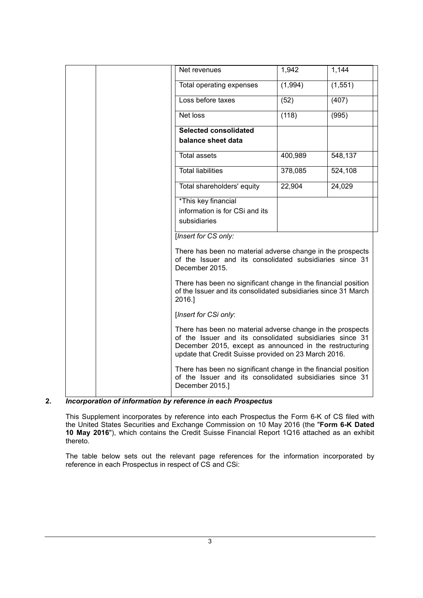| Net revenues                                                                                                                                                                                                                              | 1,942   | 1,144    |  |  |
|-------------------------------------------------------------------------------------------------------------------------------------------------------------------------------------------------------------------------------------------|---------|----------|--|--|
| Total operating expenses                                                                                                                                                                                                                  | (1,994) | (1, 551) |  |  |
| Loss before taxes                                                                                                                                                                                                                         | (52)    | (407)    |  |  |
| Net loss                                                                                                                                                                                                                                  | (118)   | (995)    |  |  |
| <b>Selected consolidated</b>                                                                                                                                                                                                              |         |          |  |  |
| balance sheet data                                                                                                                                                                                                                        |         |          |  |  |
| <b>Total assets</b>                                                                                                                                                                                                                       | 400,989 | 548,137  |  |  |
| <b>Total liabilities</b>                                                                                                                                                                                                                  | 378,085 | 524,108  |  |  |
| Total shareholders' equity                                                                                                                                                                                                                | 22,904  | 24,029   |  |  |
| *This key financial                                                                                                                                                                                                                       |         |          |  |  |
| information is for CSi and its                                                                                                                                                                                                            |         |          |  |  |
| subsidiaries                                                                                                                                                                                                                              |         |          |  |  |
| [Insert for CS only:                                                                                                                                                                                                                      |         |          |  |  |
| There has been no material adverse change in the prospects<br>of the Issuer and its consolidated subsidiaries since 31<br>December 2015.                                                                                                  |         |          |  |  |
| There has been no significant change in the financial position<br>of the Issuer and its consolidated subsidiaries since 31 March<br>2016.]                                                                                                |         |          |  |  |
| [Insert for CSi only:                                                                                                                                                                                                                     |         |          |  |  |
| There has been no material adverse change in the prospects<br>of the Issuer and its consolidated subsidiaries since 31<br>December 2015, except as announced in the restructuring<br>update that Credit Suisse provided on 23 March 2016. |         |          |  |  |
| There has been no significant change in the financial position<br>of the Issuer and its consolidated subsidiaries since 31<br>December 2015.]                                                                                             |         |          |  |  |

# **2.** *Incorporation of information by reference in each Prospectus*

This Supplement incorporates by reference into each Prospectus the Form 6-K of CS filed with the United States Securities and Exchange Commission on 10 May 2016 (the "**Form 6-K Dated 10 May 2016**"), which contains the Credit Suisse Financial Report 1Q16 attached as an exhibit thereto.

The table below sets out the relevant page references for the information incorporated by reference in each Prospectus in respect of CS and CSi: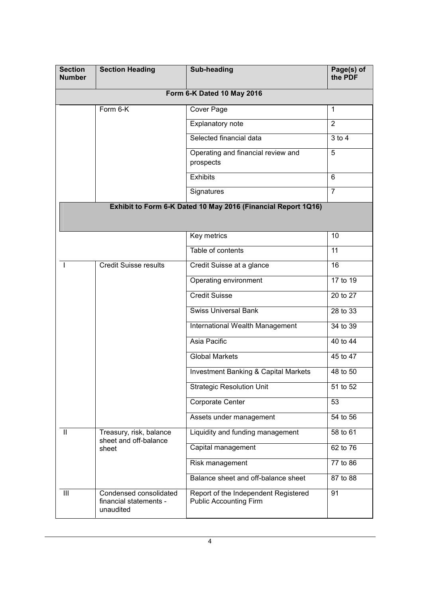| <b>Section</b><br><b>Number</b> | <b>Section Heading</b>                                        | Sub-heading<br>Page(s) of<br>the PDF                                        |                |  |  |  |
|---------------------------------|---------------------------------------------------------------|-----------------------------------------------------------------------------|----------------|--|--|--|
| Form 6-K Dated 10 May 2016      |                                                               |                                                                             |                |  |  |  |
|                                 | Form 6-K                                                      | Cover Page                                                                  | $\mathbf{1}$   |  |  |  |
|                                 |                                                               | Explanatory note                                                            | 2              |  |  |  |
|                                 |                                                               | Selected financial data                                                     | $3$ to $4$     |  |  |  |
|                                 |                                                               | Operating and financial review and<br>prospects                             | 5              |  |  |  |
|                                 |                                                               | <b>Exhibits</b>                                                             | 6              |  |  |  |
|                                 |                                                               | Signatures                                                                  | $\overline{7}$ |  |  |  |
|                                 |                                                               | Exhibit to Form 6-K Dated 10 May 2016 (Financial Report 1Q16)               |                |  |  |  |
|                                 |                                                               | Key metrics                                                                 | 10             |  |  |  |
|                                 |                                                               | Table of contents                                                           | 11             |  |  |  |
| <b>Credit Suisse results</b>    |                                                               | Credit Suisse at a glance                                                   | 16             |  |  |  |
|                                 |                                                               | Operating environment                                                       | 17 to 19       |  |  |  |
|                                 |                                                               | <b>Credit Suisse</b>                                                        | 20 to 27       |  |  |  |
|                                 |                                                               | <b>Swiss Universal Bank</b>                                                 | 28 to 33       |  |  |  |
|                                 |                                                               | International Wealth Management                                             | 34 to 39       |  |  |  |
|                                 |                                                               | Asia Pacific                                                                | 40 to 44       |  |  |  |
|                                 |                                                               | <b>Global Markets</b>                                                       | 45 to 47       |  |  |  |
|                                 |                                                               | <b>Investment Banking &amp; Capital Markets</b>                             | 48 to 50       |  |  |  |
|                                 |                                                               | <b>Strategic Resolution Unit</b>                                            | 51 to 52       |  |  |  |
|                                 |                                                               | Corporate Center                                                            | 53             |  |  |  |
|                                 |                                                               | Assets under management                                                     | 54 to 56       |  |  |  |
| H                               | Treasury, risk, balance<br>sheet and off-balance              | Liquidity and funding management                                            | 58 to 61       |  |  |  |
|                                 | sheet                                                         | Capital management                                                          | 62 to 76       |  |  |  |
|                                 |                                                               | Risk management                                                             | 77 to 86       |  |  |  |
|                                 |                                                               | Balance sheet and off-balance sheet                                         | 87 to 88       |  |  |  |
| $\mathbf{III}$                  | Condensed consolidated<br>financial statements -<br>unaudited | Report of the Independent Registered<br>91<br><b>Public Accounting Firm</b> |                |  |  |  |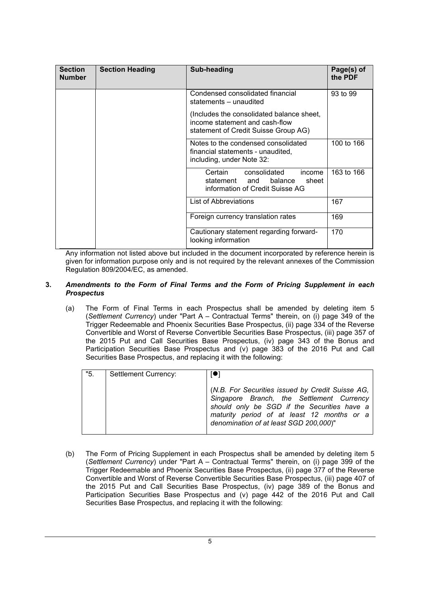| <b>Section</b><br><b>Number</b> | <b>Section Heading</b> | Sub-heading                                                                                                         | Page(s) of<br>the PDF |
|---------------------------------|------------------------|---------------------------------------------------------------------------------------------------------------------|-----------------------|
|                                 |                        | Condensed consolidated financial<br>statements - unaudited                                                          | 93 to 99              |
|                                 |                        | (Includes the consolidated balance sheet,<br>income statement and cash-flow<br>statement of Credit Suisse Group AG) |                       |
|                                 |                        | Notes to the condensed consolidated<br>financial statements - unaudited,<br>including, under Note 32:               | 100 to 166            |
|                                 |                        | Certain consolidated<br>income<br>statement and<br>balance<br>sheet<br>information of Credit Suisse AG              | 163 to 166            |
|                                 |                        | List of Abbreviations                                                                                               | 167                   |
|                                 |                        | Foreign currency translation rates                                                                                  | 169                   |
|                                 |                        | Cautionary statement regarding forward-<br>looking information                                                      | 170                   |

Any information not listed above but included in the document incorporated by reference herein is given for information purpose only and is not required by the relevant annexes of the Commission Regulation 809/2004/EC, as amended.

### **3.** *Amendments to the Form of Final Terms and the Form of Pricing Supplement in each Prospectus*

(a) The Form of Final Terms in each Prospectus shall be amended by deleting item 5 (*Settlement Currency*) under "Part A – Contractual Terms" therein, on (i) page 349 of the Trigger Redeemable and Phoenix Securities Base Prospectus, (ii) page 334 of the Reverse Convertible and Worst of Reverse Convertible Securities Base Prospectus, (iii) page 357 of the 2015 Put and Call Securities Base Prospectus, (iv) page 343 of the Bonus and Participation Securities Base Prospectus and (v) page 383 of the 2016 Put and Call Securities Base Prospectus, and replacing it with the following:

| "5. | Settlement Currency: | $\blacksquare$                                                                                                                                                                                                                       |
|-----|----------------------|--------------------------------------------------------------------------------------------------------------------------------------------------------------------------------------------------------------------------------------|
|     |                      | (N.B. For Securities issued by Credit Suisse AG,<br>Singapore Branch, the Settlement Currency<br>should only be SGD if the Securities have a<br>maturity period of at least 12 months or a<br>denomination of at least SGD 200,000)" |

(b) The Form of Pricing Supplement in each Prospectus shall be amended by deleting item 5 (*Settlement Currency*) under "Part A – Contractual Terms" therein, on (i) page 399 of the Trigger Redeemable and Phoenix Securities Base Prospectus, (ii) page 377 of the Reverse Convertible and Worst of Reverse Convertible Securities Base Prospectus, (iii) page 407 of the 2015 Put and Call Securities Base Prospectus, (iv) page 389 of the Bonus and Participation Securities Base Prospectus and (v) page 442 of the 2016 Put and Call Securities Base Prospectus, and replacing it with the following: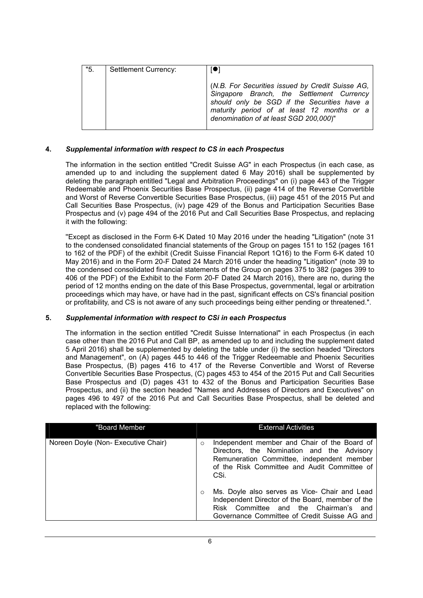| "5. | Settlement Currency: |                                                                                                                                                                                                                                      |
|-----|----------------------|--------------------------------------------------------------------------------------------------------------------------------------------------------------------------------------------------------------------------------------|
|     |                      | (N.B. For Securities issued by Credit Suisse AG,<br>Singapore Branch, the Settlement Currency<br>should only be SGD if the Securities have a<br>maturity period of at least 12 months or a<br>denomination of at least SGD 200,000)" |

### **4.** *Supplemental information with respect to CS in each Prospectus*

The information in the section entitled "Credit Suisse AG" in each Prospectus (in each case, as amended up to and including the supplement dated 6 May 2016) shall be supplemented by deleting the paragraph entitled "Legal and Arbitration Proceedings" on (i) page 443 of the Trigger Redeemable and Phoenix Securities Base Prospectus, (ii) page 414 of the Reverse Convertible and Worst of Reverse Convertible Securities Base Prospectus, (iii) page 451 of the 2015 Put and Call Securities Base Prospectus, (iv) page 429 of the Bonus and Participation Securities Base Prospectus and (v) page 494 of the 2016 Put and Call Securities Base Prospectus, and replacing it with the following:

''Except as disclosed in the Form 6-K Dated 10 May 2016 under the heading "Litigation" (note 31 to the condensed consolidated financial statements of the Group on pages 151 to 152 (pages 161 to 162 of the PDF) of the exhibit (Credit Suisse Financial Report 1Q16) to the Form 6-K dated 10 May 2016) and in the Form 20-F Dated 24 March 2016 under the heading "Litigation" (note 39 to the condensed consolidated financial statements of the Group on pages 375 to 382 (pages 399 to 406 of the PDF) of the Exhibit to the Form 20-F Dated 24 March 2016), there are no, during the period of 12 months ending on the date of this Base Prospectus, governmental, legal or arbitration proceedings which may have, or have had in the past, significant effects on CS's financial position or profitability, and CS is not aware of any such proceedings being either pending or threatened.".

#### **5.** *Supplemental information with respect to CSi in each Prospectus*

The information in the section entitled "Credit Suisse International" in each Prospectus (in each case other than the 2016 Put and Call BP, as amended up to and including the supplement dated 5 April 2016) shall be supplemented by deleting the table under (i) the section headed "Directors and Management", on (A) pages 445 to 446 of the Trigger Redeemable and Phoenix Securities Base Prospectus, (B) pages 416 to 417 of the Reverse Convertible and Worst of Reverse Convertible Securities Base Prospectus, (C) pages 453 to 454 of the 2015 Put and Call Securities Base Prospectus and (D) pages 431 to 432 of the Bonus and Participation Securities Base Prospectus, and (ii) the section headed "Names and Addresses of Directors and Executives" on pages 496 to 497 of the 2016 Put and Call Securities Base Prospectus, shall be deleted and replaced with the following:

| "Board Member                       |         | <b>External Activities</b>                                                                                                                                                                       |
|-------------------------------------|---------|--------------------------------------------------------------------------------------------------------------------------------------------------------------------------------------------------|
| Noreen Doyle (Non- Executive Chair) | $\circ$ | Independent member and Chair of the Board of<br>Directors, the Nomination and the Advisory<br>Remuneration Committee, independent member<br>of the Risk Committee and Audit Committee of<br>CSi. |
|                                     | $\circ$ | Ms. Doyle also serves as Vice- Chair and Lead<br>Independent Director of the Board, member of the<br>Risk Committee and the Chairman's and<br>Governance Committee of Credit Suisse AG and       |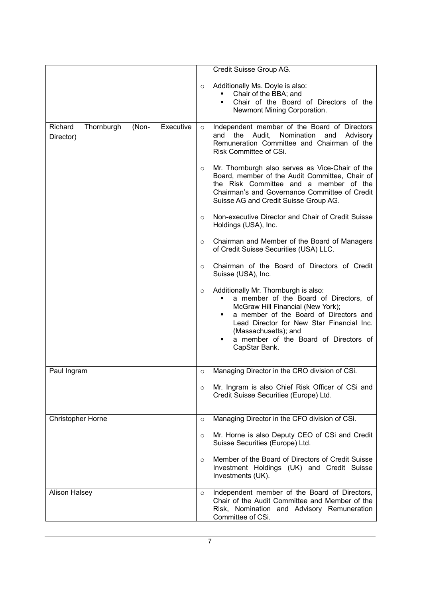|                                    |       |           |         | Credit Suisse Group AG.                                                                                                                                                                                                                                                                           |
|------------------------------------|-------|-----------|---------|---------------------------------------------------------------------------------------------------------------------------------------------------------------------------------------------------------------------------------------------------------------------------------------------------|
|                                    |       |           | $\circ$ | Additionally Ms. Doyle is also:<br>Chair of the BBA; and<br>Chair of the Board of Directors of the<br>Newmont Mining Corporation.                                                                                                                                                                 |
| Richard<br>Thornburgh<br>Director) | (Non- | Executive | $\circ$ | Independent member of the Board of Directors<br>the Audit,<br>Nomination<br>and<br>and<br>Advisory<br>Remuneration Committee and Chairman of the<br>Risk Committee of CSi.                                                                                                                        |
|                                    |       |           | $\circ$ | Mr. Thornburgh also serves as Vice-Chair of the<br>Board, member of the Audit Committee, Chair of<br>the Risk Committee and a member of the<br>Chairman's and Governance Committee of Credit<br>Suisse AG and Credit Suisse Group AG.                                                             |
|                                    |       |           | $\circ$ | Non-executive Director and Chair of Credit Suisse<br>Holdings (USA), Inc.                                                                                                                                                                                                                         |
|                                    |       |           | $\circ$ | Chairman and Member of the Board of Managers<br>of Credit Suisse Securities (USA) LLC.                                                                                                                                                                                                            |
|                                    |       |           | $\circ$ | Chairman of the Board of Directors of Credit<br>Suisse (USA), Inc.                                                                                                                                                                                                                                |
|                                    |       |           | $\circ$ | Additionally Mr. Thornburgh is also:<br>a member of the Board of Directors, of<br>٠<br>McGraw Hill Financial (New York);<br>a member of the Board of Directors and<br>Lead Director for New Star Financial Inc.<br>(Massachusetts); and<br>a member of the Board of Directors of<br>CapStar Bank. |
| Paul Ingram                        |       |           | $\circ$ | Managing Director in the CRO division of CSi.                                                                                                                                                                                                                                                     |
|                                    |       |           | $\circ$ | Mr. Ingram is also Chief Risk Officer of CSi and<br>Credit Suisse Securities (Europe) Ltd.                                                                                                                                                                                                        |
| Christopher Horne                  |       |           | $\circ$ | Managing Director in the CFO division of CSi.                                                                                                                                                                                                                                                     |
|                                    |       |           | $\circ$ | Mr. Horne is also Deputy CEO of CSi and Credit<br>Suisse Securities (Europe) Ltd.                                                                                                                                                                                                                 |
|                                    |       |           | $\circ$ | Member of the Board of Directors of Credit Suisse<br>Investment Holdings (UK) and Credit Suisse<br>Investments (UK).                                                                                                                                                                              |
| <b>Alison Halsey</b>               |       |           | $\circ$ | Independent member of the Board of Directors,<br>Chair of the Audit Committee and Member of the<br>Risk, Nomination and Advisory Remuneration<br>Committee of CSi.                                                                                                                                |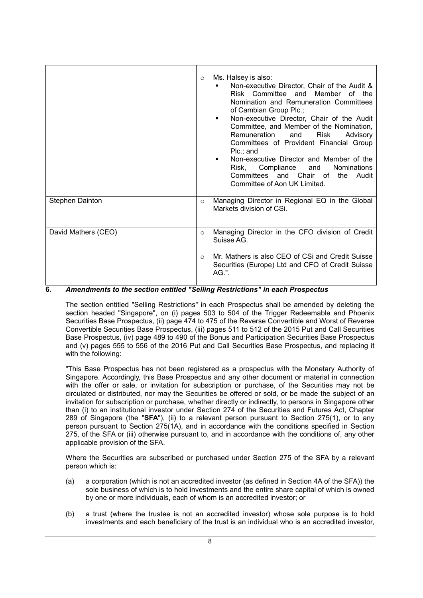|                        | $\circ$    | Ms. Halsey is also:<br>Non-executive Director, Chair of the Audit &<br>Risk Committee and Member of the<br>Nomination and Remuneration Committees<br>of Cambian Group Plc.;<br>Non-executive Director, Chair of the Audit<br>٠<br>Committee, and Member of the Nomination,<br>Remuneration<br>Risk<br>and<br>Advisory<br>Committees of Provident Financial Group<br>Plc.; and<br>Non-executive Director and Member of the<br>Risk, Compliance<br>Nominations<br>and<br>Committees and Chair of<br>the Audit<br>Committee of Aon UK Limited. |
|------------------------|------------|---------------------------------------------------------------------------------------------------------------------------------------------------------------------------------------------------------------------------------------------------------------------------------------------------------------------------------------------------------------------------------------------------------------------------------------------------------------------------------------------------------------------------------------------|
| <b>Stephen Dainton</b> | $\circ$    | Managing Director in Regional EQ in the Global<br>Markets division of CSi.                                                                                                                                                                                                                                                                                                                                                                                                                                                                  |
| David Mathers (CEO)    | $\circ$    | Managing Director in the CFO division of Credit<br>Suisse AG.                                                                                                                                                                                                                                                                                                                                                                                                                                                                               |
|                        | $\bigcirc$ | Mr. Mathers is also CEO of CSi and Credit Suisse<br>Securities (Europe) Ltd and CFO of Credit Suisse<br>$AG.$ ".                                                                                                                                                                                                                                                                                                                                                                                                                            |

# **6.** *Amendments to the section entitled "Selling Restrictions" in each Prospectus*

The section entitled "Selling Restrictions" in each Prospectus shall be amended by deleting the section headed "Singapore", on (i) pages 503 to 504 of the Trigger Redeemable and Phoenix Securities Base Prospectus, (ii) page 474 to 475 of the Reverse Convertible and Worst of Reverse Convertible Securities Base Prospectus, (iii) pages 511 to 512 of the 2015 Put and Call Securities Base Prospectus, (iv) page 489 to 490 of the Bonus and Participation Securities Base Prospectus and (v) pages 555 to 556 of the 2016 Put and Call Securities Base Prospectus, and replacing it with the following:

"This Base Prospectus has not been registered as a prospectus with the Monetary Authority of Singapore. Accordingly, this Base Prospectus and any other document or material in connection with the offer or sale, or invitation for subscription or purchase, of the Securities may not be circulated or distributed, nor may the Securities be offered or sold, or be made the subject of an invitation for subscription or purchase, whether directly or indirectly, to persons in Singapore other than (i) to an institutional investor under Section 274 of the Securities and Futures Act, Chapter 289 of Singapore (the "**SFA**"), (ii) to a relevant person pursuant to Section 275(1), or to any person pursuant to Section 275(1A), and in accordance with the conditions specified in Section 275, of the SFA or (iii) otherwise pursuant to, and in accordance with the conditions of, any other applicable provision of the SFA.

Where the Securities are subscribed or purchased under Section 275 of the SFA by a relevant person which is:

- (a) a corporation (which is not an accredited investor (as defined in Section 4A of the SFA)) the sole business of which is to hold investments and the entire share capital of which is owned by one or more individuals, each of whom is an accredited investor; or
- (b) a trust (where the trustee is not an accredited investor) whose sole purpose is to hold investments and each beneficiary of the trust is an individual who is an accredited investor,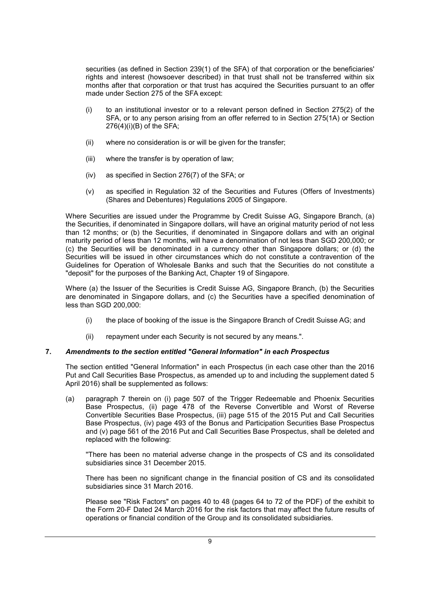securities (as defined in Section 239(1) of the SFA) of that corporation or the beneficiaries' rights and interest (howsoever described) in that trust shall not be transferred within six months after that corporation or that trust has acquired the Securities pursuant to an offer made under Section 275 of the SFA except:

- (i) to an institutional investor or to a relevant person defined in Section 275(2) of the SFA, or to any person arising from an offer referred to in Section 275(1A) or Section 276(4)(i)(B) of the SFA;
- (ii) where no consideration is or will be given for the transfer;
- (iii) where the transfer is by operation of law;
- (iv) as specified in Section 276(7) of the SFA; or
- (v) as specified in Regulation 32 of the Securities and Futures (Offers of Investments) (Shares and Debentures) Regulations 2005 of Singapore.

Where Securities are issued under the Programme by Credit Suisse AG, Singapore Branch, (a) the Securities, if denominated in Singapore dollars, will have an original maturity period of not less than 12 months; or (b) the Securities, if denominated in Singapore dollars and with an original maturity period of less than 12 months, will have a denomination of not less than SGD 200,000; or (c) the Securities will be denominated in a currency other than Singapore dollars; or (d) the Securities will be issued in other circumstances which do not constitute a contravention of the Guidelines for Operation of Wholesale Banks and such that the Securities do not constitute a "deposit" for the purposes of the Banking Act, Chapter 19 of Singapore.

Where (a) the Issuer of the Securities is Credit Suisse AG, Singapore Branch, (b) the Securities are denominated in Singapore dollars, and (c) the Securities have a specified denomination of less than SGD 200,000:

- (i) the place of booking of the issue is the Singapore Branch of Credit Suisse AG; and
- (ii) repayment under each Security is not secured by any means.".

# **7.** *Amendments to the section entitled "General Information" in each Prospectus*

The section entitled "General Information" in each Prospectus (in each case other than the 2016 Put and Call Securities Base Prospectus, as amended up to and including the supplement dated 5 April 2016) shall be supplemented as follows:

(a) paragraph 7 therein on (i) page 507 of the Trigger Redeemable and Phoenix Securities Base Prospectus, (ii) page 478 of the Reverse Convertible and Worst of Reverse Convertible Securities Base Prospectus, (iii) page 515 of the 2015 Put and Call Securities Base Prospectus, (iv) page 493 of the Bonus and Participation Securities Base Prospectus and (v) page 561 of the 2016 Put and Call Securities Base Prospectus, shall be deleted and replaced with the following:

''There has been no material adverse change in the prospects of CS and its consolidated subsidiaries since 31 December 2015.

There has been no significant change in the financial position of CS and its consolidated subsidiaries since 31 March 2016.

Please see "Risk Factors" on pages 40 to 48 (pages 64 to 72 of the PDF) of the exhibit to the Form 20-F Dated 24 March 2016 for the risk factors that may affect the future results of operations or financial condition of the Group and its consolidated subsidiaries.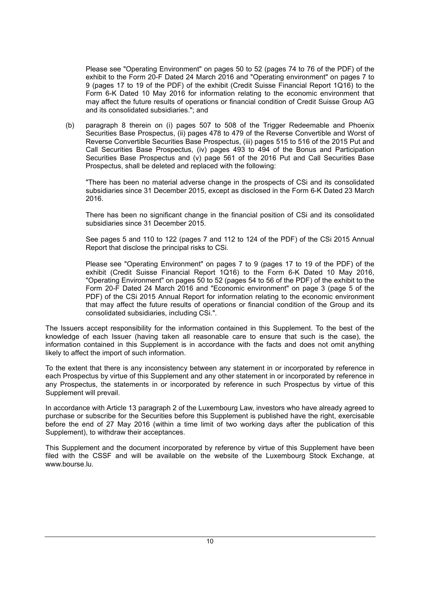Please see "Operating Environment" on pages 50 to 52 (pages 74 to 76 of the PDF) of the exhibit to the Form 20-F Dated 24 March 2016 and "Operating environment" on pages 7 to 9 (pages 17 to 19 of the PDF) of the exhibit (Credit Suisse Financial Report 1Q16) to the Form 6-K Dated 10 May 2016 for information relating to the economic environment that may affect the future results of operations or financial condition of Credit Suisse Group AG and its consolidated subsidiaries."; and

(b) paragraph 8 therein on (i) pages 507 to 508 of the Trigger Redeemable and Phoenix Securities Base Prospectus, (ii) pages 478 to 479 of the Reverse Convertible and Worst of Reverse Convertible Securities Base Prospectus, (iii) pages 515 to 516 of the 2015 Put and Call Securities Base Prospectus, (iv) pages 493 to 494 of the Bonus and Participation Securities Base Prospectus and (v) page 561 of the 2016 Put and Call Securities Base Prospectus, shall be deleted and replaced with the following:

"There has been no material adverse change in the prospects of CSi and its consolidated subsidiaries since 31 December 2015, except as disclosed in the Form 6-K Dated 23 March 2016.

There has been no significant change in the financial position of CSi and its consolidated subsidiaries since 31 December 2015.

See pages 5 and 110 to 122 (pages 7 and 112 to 124 of the PDF) of the CSi 2015 Annual Report that disclose the principal risks to CSi.

Please see "Operating Environment" on pages 7 to 9 (pages 17 to 19 of the PDF) of the exhibit (Credit Suisse Financial Report 1Q16) to the Form 6-K Dated 10 May 2016, "Operating Environment" on pages 50 to 52 (pages 54 to 56 of the PDF) of the exhibit to the Form 20-F Dated 24 March 2016 and "Economic environment" on page 3 (page 5 of the PDF) of the CSi 2015 Annual Report for information relating to the economic environment that may affect the future results of operations or financial condition of the Group and its consolidated subsidiaries, including CSi.".

The Issuers accept responsibility for the information contained in this Supplement. To the best of the knowledge of each Issuer (having taken all reasonable care to ensure that such is the case), the information contained in this Supplement is in accordance with the facts and does not omit anything likely to affect the import of such information.

To the extent that there is any inconsistency between any statement in or incorporated by reference in each Prospectus by virtue of this Supplement and any other statement in or incorporated by reference in any Prospectus, the statements in or incorporated by reference in such Prospectus by virtue of this Supplement will prevail.

In accordance with Article 13 paragraph 2 of the Luxembourg Law, investors who have already agreed to purchase or subscribe for the Securities before this Supplement is published have the right, exercisable before the end of 27 May 2016 (within a time limit of two working days after the publication of this Supplement), to withdraw their acceptances.

This Supplement and the document incorporated by reference by virtue of this Supplement have been filed with the CSSF and will be available on the website of the Luxembourg Stock Exchange, at www.bourse.lu.